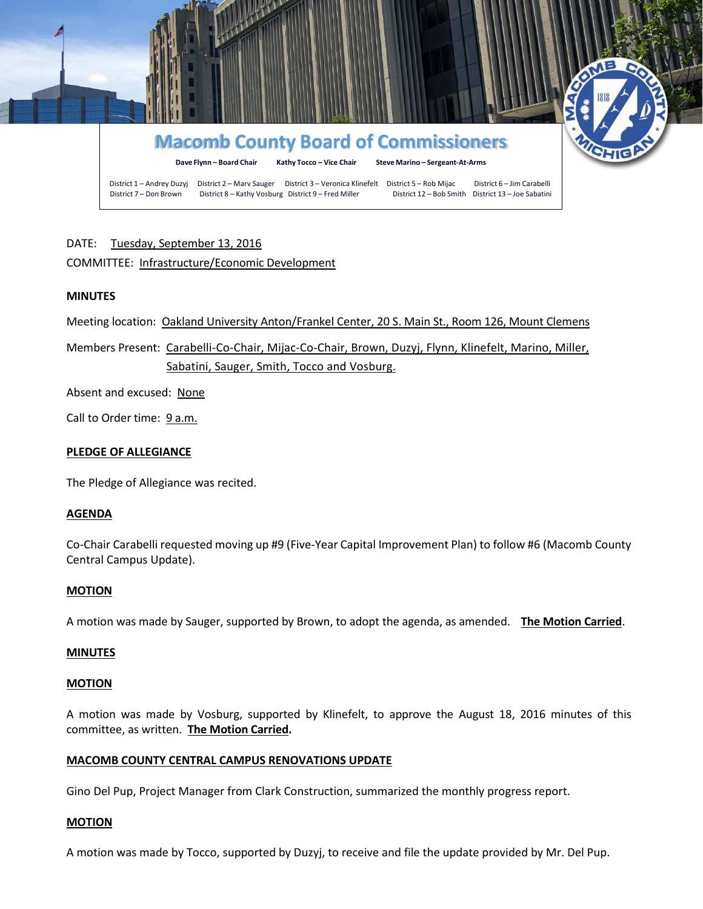

# DATE: Tuesday, September 13, 2016

## COMMITTEE: Infrastructure/Economic Development

## **MINUTES**

Meeting location: Oakland University Anton/Frankel Center, 20 S. Main St., Room 126, Mount Clemens

Members Present: Carabelli-Co-Chair, Mijac-Co-Chair, Brown, Duzyj, Flynn, Klinefelt, Marino, Miller, Sabatini, Sauger, Smith, Tocco and Vosburg.

Absent and excused: None

Call to Order time: 9 a.m.

## **PLEDGE OF ALLEGIANCE**

The Pledge of Allegiance was recited.

#### **AGENDA**

Co-Chair Carabelli requested moving up #9 (Five-Year Capital Improvement Plan) to follow #6 (Macomb County Central Campus Update).

#### **MOTION**

A motion was made by Sauger, supported by Brown, to adopt the agenda, as amended. **The Motion Carried**.

#### **MINUTES**

#### **MOTION**

A motion was made by Vosburg, supported by Klinefelt, to approve the August 18, 2016 minutes of this committee, as written. **The Motion Carried.**

#### **MACOMB COUNTY CENTRAL CAMPUS RENOVATIONS UPDATE**

Gino Del Pup, Project Manager from Clark Construction, summarized the monthly progress report.

### **MOTION**

A motion was made by Tocco, supported by Duzyj, to receive and file the update provided by Mr. Del Pup.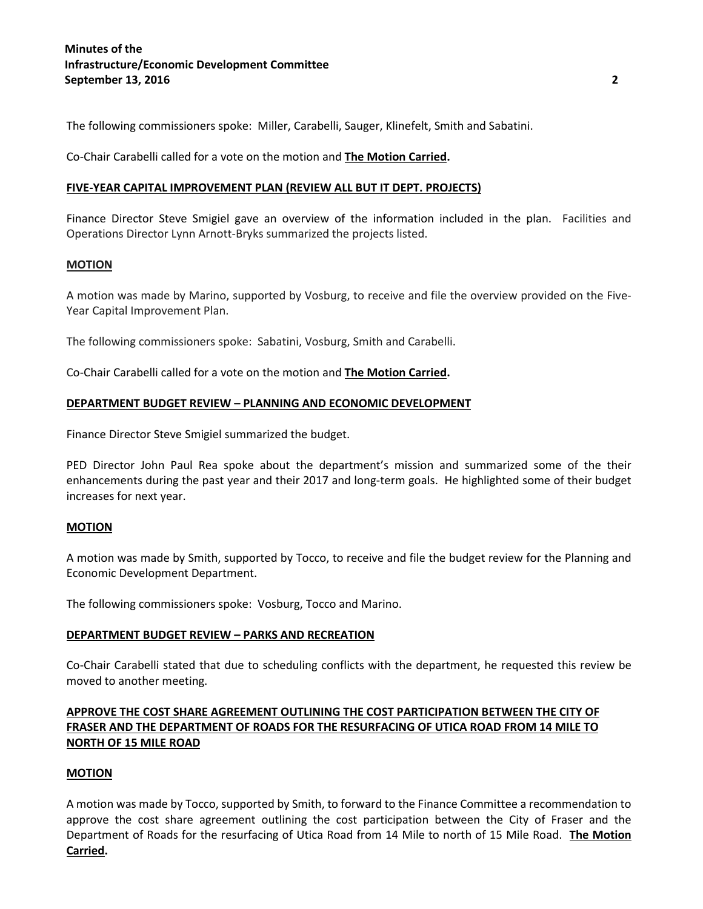The following commissioners spoke: Miller, Carabelli, Sauger, Klinefelt, Smith and Sabatini.

Co-Chair Carabelli called for a vote on the motion and **The Motion Carried.**

## **FIVE-YEAR CAPITAL IMPROVEMENT PLAN (REVIEW ALL BUT IT DEPT. PROJECTS)**

Finance Director Steve Smigiel gave an overview of the information included in the plan. Facilities and Operations Director Lynn Arnott-Bryks summarized the projects listed.

#### **MOTION**

A motion was made by Marino, supported by Vosburg, to receive and file the overview provided on the Five-Year Capital Improvement Plan.

The following commissioners spoke: Sabatini, Vosburg, Smith and Carabelli.

Co-Chair Carabelli called for a vote on the motion and **The Motion Carried.**

## **DEPARTMENT BUDGET REVIEW – PLANNING AND ECONOMIC DEVELOPMENT**

Finance Director Steve Smigiel summarized the budget.

PED Director John Paul Rea spoke about the department's mission and summarized some of the their enhancements during the past year and their 2017 and long-term goals. He highlighted some of their budget increases for next year.

#### **MOTION**

A motion was made by Smith, supported by Tocco, to receive and file the budget review for the Planning and Economic Development Department.

The following commissioners spoke: Vosburg, Tocco and Marino.

#### **DEPARTMENT BUDGET REVIEW – PARKS AND RECREATION**

Co-Chair Carabelli stated that due to scheduling conflicts with the department, he requested this review be moved to another meeting.

# **APPROVE THE COST SHARE AGREEMENT OUTLINING THE COST PARTICIPATION BETWEEN THE CITY OF FRASER AND THE DEPARTMENT OF ROADS FOR THE RESURFACING OF UTICA ROAD FROM 14 MILE TO NORTH OF 15 MILE ROAD**

## **MOTION**

A motion was made by Tocco, supported by Smith, to forward to the Finance Committee a recommendation to approve the cost share agreement outlining the cost participation between the City of Fraser and the Department of Roads for the resurfacing of Utica Road from 14 Mile to north of 15 Mile Road. **The Motion Carried.**